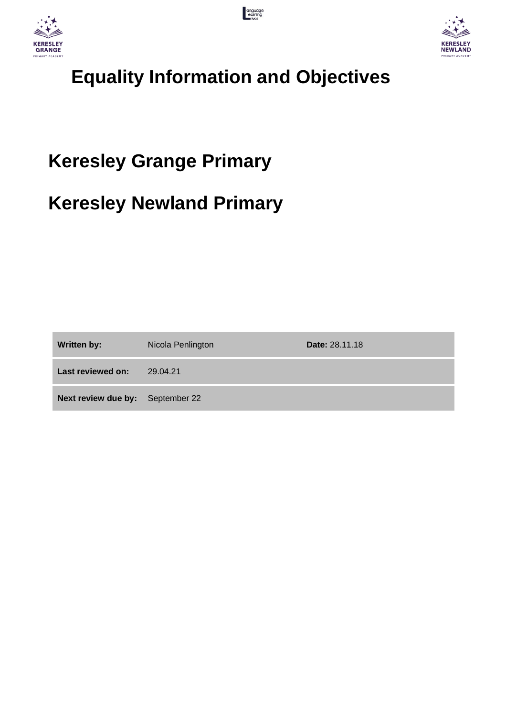





# **Equality Information and Objectives**

# **Keresley Grange Primary**

## **Keresley Newland Primary**

| <b>Written by:</b>               | Nicola Penlington | <b>Date: 28.11.18</b> |
|----------------------------------|-------------------|-----------------------|
| Last reviewed on:                | 29.04.21          |                       |
| Next review due by: September 22 |                   |                       |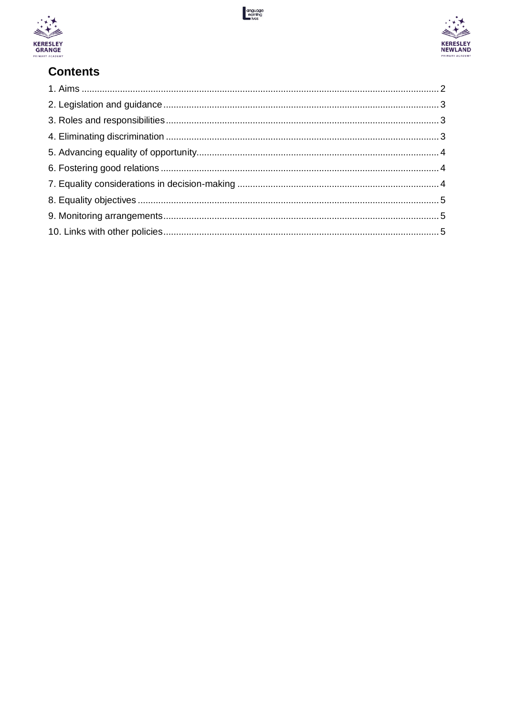





## **Contents**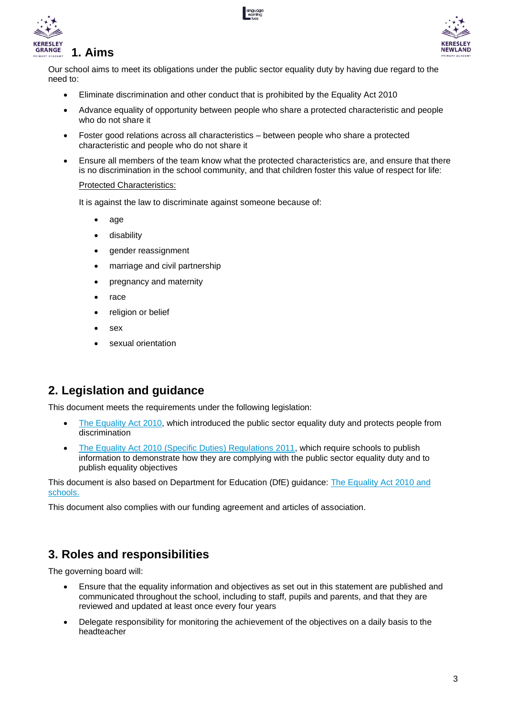





Our school aims to meet its obligations under the public sector equality duty by having due regard to the need to:

- Eliminate discrimination and other conduct that is prohibited by the Equality Act 2010
- Advance equality of opportunity between people who share a protected characteristic and people who do not share it
- Foster good relations across all characteristics between people who share a protected characteristic and people who do not share it
- Ensure all members of the team know what the protected characteristics are, and ensure that there is no discrimination in the school community, and that children foster this value of respect for life:

#### Protected Characteristics:

It is against the law to discriminate against someone because of:

- [age](https://www.equalityhumanrights.com/en/equality-act/protected-characteristics#age)
- [disability](https://www.equalityhumanrights.com/en/equality-act/protected-characteristics#disability)
- [gender reassignment](https://www.equalityhumanrights.com/en/equality-act/protected-characteristics#reassignment)
- [marriage and civil partnership](https://www.equalityhumanrights.com/en/equality-act/protected-characteristics#marriage)
- [pregnancy and maternity](https://www.equalityhumanrights.com/en/equality-act/protected-characteristics#pregmat)
- [race](https://www.equalityhumanrights.com/en/equality-act/protected-characteristics#race)
- [religion or belief](https://www.equalityhumanrights.com/en/equality-act/protected-characteristics#rob)
- [sex](https://www.equalityhumanrights.com/en/equality-act/protected-characteristics#sex)
- [sexual orientation](https://www.equalityhumanrights.com/en/equality-act/protected-characteristics#lgb)

## **2. Legislation and guidance**

This document meets the requirements under the following legislation:

- [The Equality Act 2010,](http://www.legislation.gov.uk/ukpga/2010/15/contents) which introduced the public sector equality duty and protects people from discrimination
- The Equality Act 2010 (Specific Duties) Requlations 2011, which require schools to publish information to demonstrate how they are complying with the public sector equality duty and to publish equality objectives

This document is also based on Department for Education (DfE) guidance: [The Equality Act 2010 and](https://www.gov.uk/government/uploads/system/uploads/attachment_data/file/315587/Equality_Act_Advice_Final.pdf)  [schools.](https://www.gov.uk/government/uploads/system/uploads/attachment_data/file/315587/Equality_Act_Advice_Final.pdf) 

This document also complies with our funding agreement and articles of association.

## **3. Roles and responsibilities**

The governing board will:

- Ensure that the equality information and objectives as set out in this statement are published and communicated throughout the school, including to staff, pupils and parents, and that they are reviewed and updated at least once every four years
- Delegate responsibility for monitoring the achievement of the objectives on a daily basis to the headteacher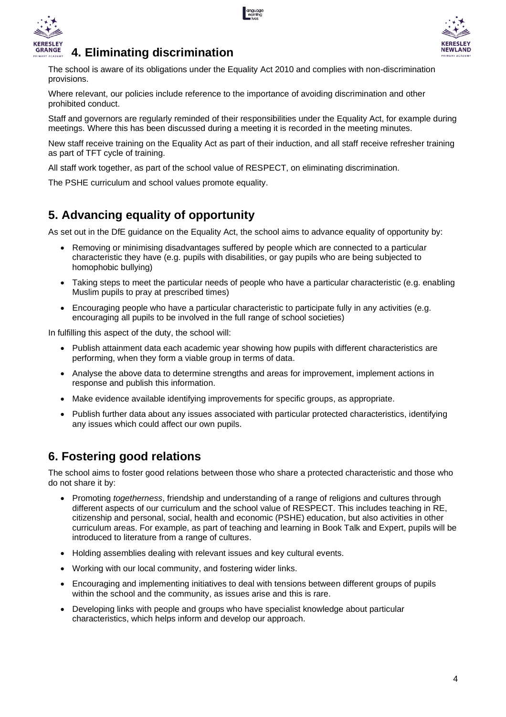



## **4. Eliminating discrimination**

The school is aware of its obligations under the Equality Act 2010 and complies with non-discrimination provisions.

Where relevant, our policies include reference to the importance of avoiding discrimination and other prohibited conduct.

Staff and governors are regularly reminded of their responsibilities under the Equality Act, for example during meetings. Where this has been discussed during a meeting it is recorded in the meeting minutes.

New staff receive training on the Equality Act as part of their induction, and all staff receive refresher training as part of TFT cycle of training.

All staff work together, as part of the school value of RESPECT, on eliminating discrimination.

The PSHE curriculum and school values promote equality.

### **5. Advancing equality of opportunity**

As set out in the DfE guidance on the Equality Act, the school aims to advance equality of opportunity by:

- Removing or minimising disadvantages suffered by people which are connected to a particular characteristic they have (e.g. pupils with disabilities, or gay pupils who are being subjected to homophobic bullying)
- Taking steps to meet the particular needs of people who have a particular characteristic (e.g. enabling Muslim pupils to pray at prescribed times)
- Encouraging people who have a particular characteristic to participate fully in any activities (e.g. encouraging all pupils to be involved in the full range of school societies)

In fulfilling this aspect of the duty, the school will:

- Publish attainment data each academic year showing how pupils with different characteristics are performing, when they form a viable group in terms of data.
- Analyse the above data to determine strengths and areas for improvement, implement actions in response and publish this information.
- Make evidence available identifying improvements for specific groups, as appropriate.
- Publish further data about any issues associated with particular protected characteristics, identifying any issues which could affect our own pupils.

## **6. Fostering good relations**

The school aims to foster good relations between those who share a protected characteristic and those who do not share it by:

- Promoting *togetherness*, friendship and understanding of a range of religions and cultures through different aspects of our curriculum and the school value of RESPECT. This includes teaching in RE, citizenship and personal, social, health and economic (PSHE) education, but also activities in other curriculum areas. For example, as part of teaching and learning in Book Talk and Expert, pupils will be introduced to literature from a range of cultures.
- Holding assemblies dealing with relevant issues and key cultural events.
- Working with our local community, and fostering wider links.
- Encouraging and implementing initiatives to deal with tensions between different groups of pupils within the school and the community, as issues arise and this is rare.
- Developing links with people and groups who have specialist knowledge about particular characteristics, which helps inform and develop our approach.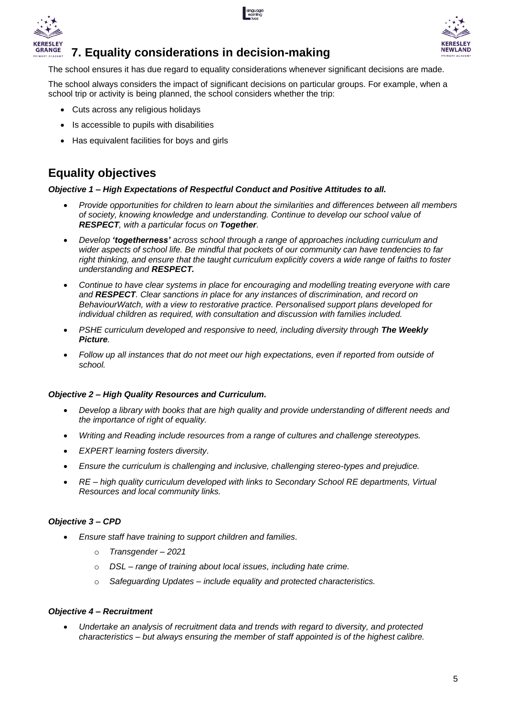





#### **7. Equality considerations in decision-making**

The school ensures it has due regard to equality considerations whenever significant decisions are made.

The school always considers the impact of significant decisions on particular groups. For example, when a school trip or activity is being planned, the school considers whether the trip:

- Cuts across any religious holidays
- Is accessible to pupils with disabilities
- Has equivalent facilities for boys and girls

## **Equality objectives**

#### *Objective 1 – High Expectations of Respectful Conduct and Positive Attitudes to all.*

- *Provide opportunities for children to learn about the similarities and differences between all members of society, knowing knowledge and understanding. Continue to develop our school value of RESPECT, with a particular focus on Together.*
- *Develop 'togetherness' across school through a range of approaches including curriculum and wider aspects of school life. Be mindful that pockets of our community can have tendencies to far right thinking, and ensure that the taught curriculum explicitly covers a wide range of faiths to foster understanding and RESPECT.*
- *Continue to have clear systems in place for encouraging and modelling treating everyone with care and RESPECT. Clear sanctions in place for any instances of discrimination, and record on BehaviourWatch, with a view to restorative practice. Personalised support plans developed for individual children as required, with consultation and discussion with families included.*
- *PSHE curriculum developed and responsive to need, including diversity through The Weekly Picture.*
- *Follow up all instances that do not meet our high expectations, even if reported from outside of school.*

#### *Objective 2 – High Quality Resources and Curriculum.*

- *Develop a library with books that are high quality and provide understanding of different needs and the importance of right of equality.*
- *Writing and Reading include resources from a range of cultures and challenge stereotypes.*
- *EXPERT learning fosters diversity.*
- *Ensure the curriculum is challenging and inclusive, challenging stereo-types and prejudice.*
- *RE – high quality curriculum developed with links to Secondary School RE departments, Virtual Resources and local community links.*

#### *Objective 3 – CPD*

- *Ensure staff have training to support children and families.*
	- o *Transgender – 2021*
	- o *DSL – range of training about local issues, including hate crime.*
	- o *Safeguarding Updates – include equality and protected characteristics.*

#### *Objective 4 – Recruitment*

• *Undertake an analysis of recruitment data and trends with regard to diversity, and protected characteristics – but always ensuring the member of staff appointed is of the highest calibre.*